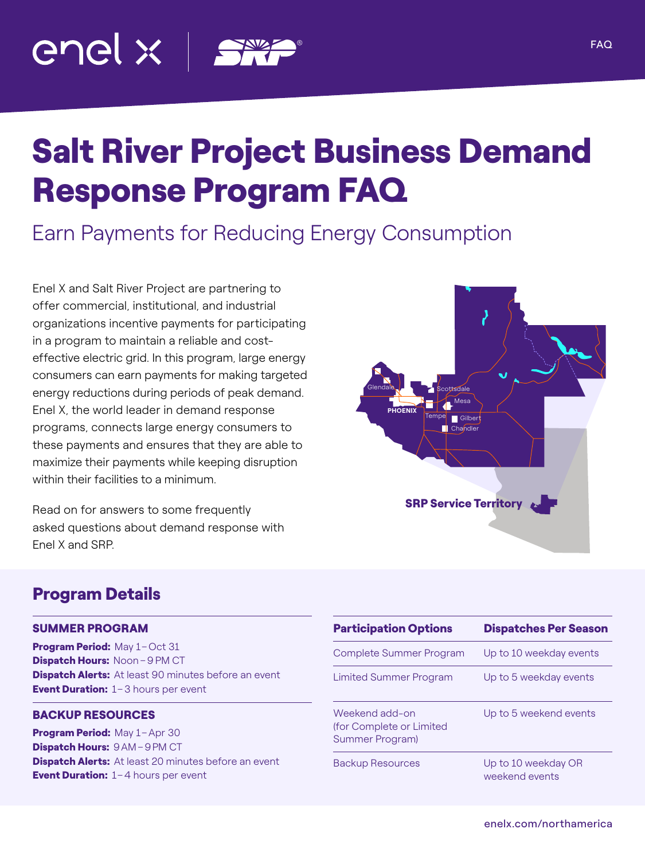

# Salt River Project Business Demand Response Program FAQ

## Earn Payments for Reducing Energy Consumption

Enel X and Salt River Project are partnering to offer commercial, institutional, and industrial organizations incentive payments for participating in a program to maintain a reliable and costeffective electric grid. In this program, large energy consumers can earn payments for making targeted energy reductions during periods of peak demand. Enel X, the world leader in demand response programs, connects large energy consumers to these payments and ensures that they are able to maximize their payments while keeping disruption within their facilities to a minimum.

Read on for answers to some frequently asked questions about demand response with Enel X and SRP.



#### Program Details

#### SUMMER PROGRAM

Program Period: May 1-Oct 31 Dispatch Hours: Noon-9 PM CT **Dispatch Alerts:** At least 90 minutes before an event **Event Duration:** 1-3 hours per event

#### BACKUP RESOURCES

Program Period: May 1-Apr 30 Dispatch Hours: 9AM-9PM CT **Dispatch Alerts:** At least 20 minutes before an event Event Duration: 1-4 hours per event

| <b>Participation Options</b>                                  | <b>Dispatches Per Season</b>          |
|---------------------------------------------------------------|---------------------------------------|
| Complete Summer Program                                       | Up to 10 weekday events               |
| <b>Limited Summer Program</b>                                 | Up to 5 weekday events                |
| Weekend add-on<br>(for Complete or Limited<br>Summer Program) | Up to 5 weekend events                |
| <b>Backup Resources</b>                                       | Up to 10 weekday OR<br>weekend events |